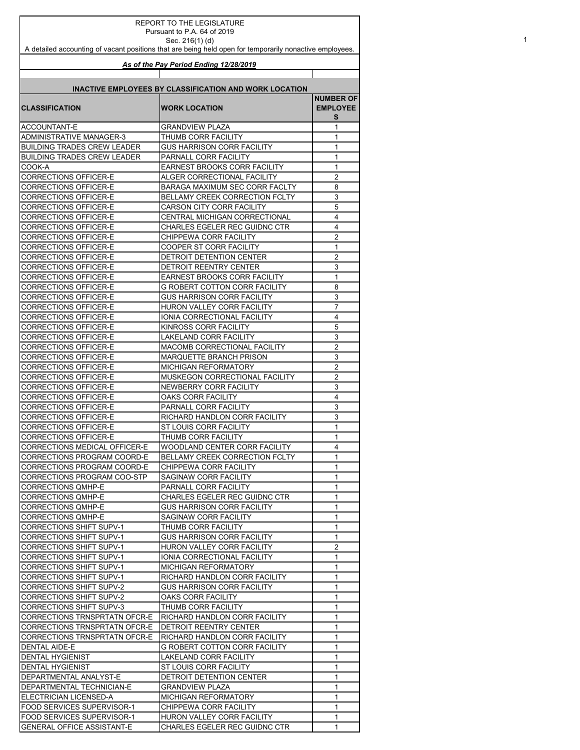| <b>REPORT TO THE LEGISLATURE</b>                                                                                          |                                                               |                     |  |
|---------------------------------------------------------------------------------------------------------------------------|---------------------------------------------------------------|---------------------|--|
| Pursuant to P.A. 64 of 2019                                                                                               |                                                               |                     |  |
| Sec. 216(1)(d)<br>A detailed accounting of vacant positions that are being held open for temporarily nonactive employees. |                                                               |                     |  |
|                                                                                                                           |                                                               |                     |  |
|                                                                                                                           | As of the Pay Period Ending 12/28/2019                        |                     |  |
|                                                                                                                           |                                                               |                     |  |
|                                                                                                                           | <b>INACTIVE EMPLOYEES BY CLASSIFICATION AND WORK LOCATION</b> |                     |  |
|                                                                                                                           |                                                               | <b>NUMBER OF</b>    |  |
| <b>CLASSIFICATION</b>                                                                                                     | <b>WORK LOCATION</b>                                          | <b>EMPLOYEE</b>     |  |
|                                                                                                                           |                                                               | s                   |  |
| <b>ACCOUNTANT-E</b>                                                                                                       | GRANDVIEW PLAZA                                               | 1                   |  |
| ADMINISTRATIVE MANAGER-3                                                                                                  | THUMB CORR FACILITY                                           | 1                   |  |
| <b>BUILDING TRADES CREW LEADER</b><br>BUILDING TRADES CREW LEADER                                                         | GUS HARRISON CORR FACILITY<br>PARNALL CORR FACILITY           | 1<br>1              |  |
| COOK-A                                                                                                                    | <b>EARNEST BROOKS CORR FACILITY</b>                           | 1                   |  |
| CORRECTIONS OFFICER-E                                                                                                     | ALGER CORRECTIONAL FACILITY                                   | 2                   |  |
| CORRECTIONS OFFICER-E                                                                                                     | BARAGA MAXIMUM SEC CORR FACLTY                                | 8                   |  |
| CORRECTIONS OFFICER-E                                                                                                     | BELLAMY CREEK CORRECTION FCLTY                                | 3                   |  |
| CORRECTIONS OFFICER-E                                                                                                     | <b>CARSON CITY CORR FACILITY</b>                              | 5                   |  |
| CORRECTIONS OFFICER-E                                                                                                     | CENTRAL MICHIGAN CORRECTIONAL                                 | 4                   |  |
| CORRECTIONS OFFICER-E                                                                                                     | CHARLES EGELER REC GUIDNC CTR                                 | 4                   |  |
| CORRECTIONS OFFICER-E                                                                                                     | CHIPPEWA CORR FACILITY                                        | 2                   |  |
| CORRECTIONS OFFICER-E                                                                                                     | <b>COOPER ST CORR FACILITY</b>                                | 1                   |  |
| <b>CORRECTIONS OFFICER-E</b>                                                                                              | DETROIT DETENTION CENTER                                      | $\overline{2}$      |  |
| CORRECTIONS OFFICER-E                                                                                                     | DETROIT REENTRY CENTER                                        | 3                   |  |
| CORRECTIONS OFFICER-E                                                                                                     | EARNEST BROOKS CORR FACILITY                                  | 1                   |  |
| <b>CORRECTIONS OFFICER-E</b>                                                                                              | G ROBERT COTTON CORR FACILITY                                 | 8                   |  |
| CORRECTIONS OFFICER-E                                                                                                     | GUS HARRISON CORR FACILITY                                    | 3                   |  |
| CORRECTIONS OFFICER-E                                                                                                     | HURON VALLEY CORR FACILITY                                    | 7                   |  |
| CORRECTIONS OFFICER-E                                                                                                     | IONIA CORRECTIONAL FACILITY                                   | 4                   |  |
| CORRECTIONS OFFICER-E                                                                                                     | KINROSS CORR FACILITY                                         | 5                   |  |
| CORRECTIONS OFFICER-E                                                                                                     | LAKELAND CORR FACILITY                                        | 3                   |  |
| CORRECTIONS OFFICER-E                                                                                                     | MACOMB CORRECTIONAL FACILITY                                  | $\overline{2}$      |  |
| CORRECTIONS OFFICER-E                                                                                                     | <b>MARQUETTE BRANCH PRISON</b>                                | 3                   |  |
| CORRECTIONS OFFICER-E<br><b>CORRECTIONS OFFICER-E</b>                                                                     | MICHIGAN REFORMATORY<br>MUSKEGON CORRECTIONAL FACILITY        | 2<br>$\overline{2}$ |  |
| CORRECTIONS OFFICER-E                                                                                                     | NEWBERRY CORR FACILITY                                        | 3                   |  |
| CORRECTIONS OFFICER-E                                                                                                     | OAKS CORR FACILITY                                            | 4                   |  |
| CORRECTIONS OFFICER-E                                                                                                     | PARNALL CORR FACILITY                                         | 3                   |  |
| CORRECTIONS OFFICER-E                                                                                                     | RICHARD HANDLON CORR FACILITY                                 | 3                   |  |
| CORRECTIONS OFFICER-E                                                                                                     | ST LOUIS CORR FACILITY                                        | $\mathbf{1}$        |  |
| <b>CORRECTIONS OFFICER-E</b>                                                                                              | THUMB CORR FACILITY                                           | 1                   |  |
| <b>CORRECTIONS MEDICAL OFFICER-E</b>                                                                                      | WOODLAND CENTER CORR FACILITY                                 | 4                   |  |
| CORRECTIONS PROGRAM COORD-E                                                                                               | BELLAMY CREEK CORRECTION FCLTY                                | 1                   |  |
| CORRECTIONS PROGRAM COORD-E                                                                                               | CHIPPEWA CORR FACILITY                                        | 1                   |  |
| CORRECTIONS PROGRAM COO-STP                                                                                               | SAGINAW CORR FACILITY                                         | 1                   |  |
| <b>CORRECTIONS QMHP-E</b>                                                                                                 | PARNALL CORR FACILITY                                         | 1                   |  |
| <b>CORRECTIONS QMHP-E</b>                                                                                                 | CHARLES EGELER REC GUIDNC CTR                                 | 1                   |  |
| <b>CORRECTIONS QMHP-E</b>                                                                                                 | <b>GUS HARRISON CORR FACILITY</b>                             | 1                   |  |
| <b>CORRECTIONS QMHP-E</b>                                                                                                 | <b>SAGINAW CORR FACILITY</b>                                  | 1                   |  |
| CORRECTIONS SHIFT SUPV-1                                                                                                  | THUMB CORR FACILITY                                           | 1                   |  |
| <b>CORRECTIONS SHIFT SUPV-1</b>                                                                                           | GUS HARRISON CORR FACILITY                                    | 1                   |  |
| <b>CORRECTIONS SHIFT SUPV-1</b>                                                                                           | HURON VALLEY CORR FACILITY                                    | $\overline{2}$      |  |
| <b>CORRECTIONS SHIFT SUPV-1</b>                                                                                           | IONIA CORRECTIONAL FACILITY                                   | 1                   |  |
| <b>CORRECTIONS SHIFT SUPV-1</b>                                                                                           | <b>MICHIGAN REFORMATORY</b>                                   | 1                   |  |
| <b>CORRECTIONS SHIFT SUPV-1</b>                                                                                           | RICHARD HANDLON CORR FACILITY                                 | 1<br>1              |  |
| <b>CORRECTIONS SHIFT SUPV-2</b><br><b>CORRECTIONS SHIFT SUPV-2</b>                                                        | GUS HARRISON CORR FACILITY<br>OAKS CORR FACILITY              | 1                   |  |
| <b>CORRECTIONS SHIFT SUPV-3</b>                                                                                           | THUMB CORR FACILITY                                           | 1                   |  |
| CORRECTIONS TRNSPRTATN OFCR-E                                                                                             | RICHARD HANDLON CORR FACILITY                                 | 1                   |  |
| CORRECTIONS TRNSPRTATN OFCR-E                                                                                             | <b>DETROIT REENTRY CENTER</b>                                 | 1                   |  |
| <b>CORRECTIONS TRNSPRTATN OFCR-E</b>                                                                                      | RICHARD HANDLON CORR FACILITY                                 | 1                   |  |
| <b>DENTAL AIDE-E</b>                                                                                                      | G ROBERT COTTON CORR FACILITY                                 | 1                   |  |
| <b>DENTAL HYGIENIST</b>                                                                                                   | LAKELAND CORR FACILITY                                        | 1                   |  |
| <b>DENTAL HYGIENIST</b>                                                                                                   | ST LOUIS CORR FACILITY                                        | 1                   |  |
| DEPARTMENTAL ANALYST-E                                                                                                    | DETROIT DETENTION CENTER                                      | 1                   |  |
| DEPARTMENTAL TECHNICIAN-E                                                                                                 | <b>GRANDVIEW PLAZA</b>                                        | 1                   |  |
| ELECTRICIAN LICENSED-A                                                                                                    | MICHIGAN REFORMATORY                                          | 1                   |  |
| FOOD SERVICES SUPERVISOR-1                                                                                                | CHIPPEWA CORR FACILITY                                        | 1                   |  |
| FOOD SERVICES SUPERVISOR-1                                                                                                | HURON VALLEY CORR FACILITY                                    | 1                   |  |
| <b>GENERAL OFFICE ASSISTANT-E</b>                                                                                         | CHARLES EGELER REC GUIDNC CTR                                 | 1                   |  |

1